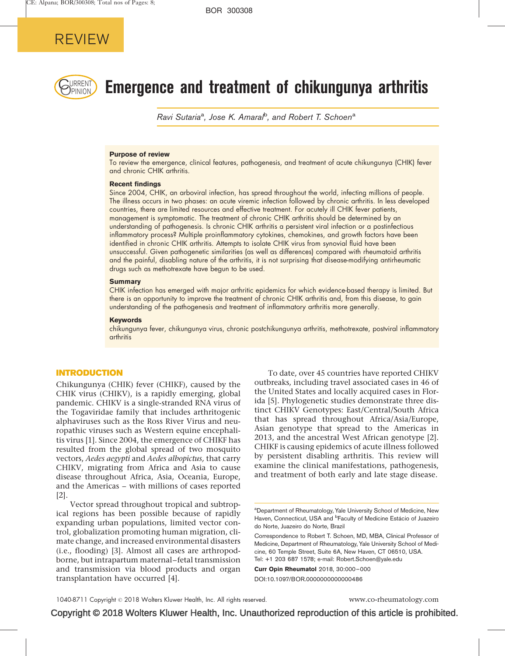

# $\mathbb{R}_{\text{PINION}}$  Emergence and treatment of chikungunya arthritis

Ravi Sutaria<sup>a</sup>, Jose K. Amaral<sup>b</sup>, and Robert T. Schoen<sup>a</sup>

#### Purpose of review

To review the emergence, clinical features, pathogenesis, and treatment of acute chikungunya (CHIK) fever and chronic CHIK arthritis.

#### Recent findings

Since 2004, CHIK, an arboviral infection, has spread throughout the world, infecting millions of people. The illness occurs in two phases: an acute viremic infection followed by chronic arthritis. In less developed countries, there are limited resources and effective treatment. For acutely ill CHIK fever patients, management is symptomatic. The treatment of chronic CHIK arthritis should be determined by an understanding of pathogenesis. Is chronic CHIK arthritis a persistent viral infection or a postinfectious inflammatory process? Multiple proinflammatory cytokines, chemokines, and growth factors have been identified in chronic CHIK arthritis. Attempts to isolate CHIK virus from synovial fluid have been unsuccessful. Given pathogenetic similarities (as well as differences) compared with rheumatoid arthritis and the painful, disabling nature of the arthritis, it is not surprising that disease-modifying antirheumatic drugs such as methotrexate have begun to be used.

#### **Summary**

CHIK infection has emerged with major arthritic epidemics for which evidence-based therapy is limited. But there is an opportunity to improve the treatment of chronic CHIK arthritis and, from this disease, to gain understanding of the pathogenesis and treatment of inflammatory arthritis more generally.

#### Keywords

chikungunya fever, chikungunya virus, chronic postchikungunya arthritis, methotrexate, postviral inflammatory arthritis

#### INTRODUCTION

Chikungunya (CHIK) fever (CHIKF), caused by the CHIK virus (CHIKV), is a rapidly emerging, global pandemic. CHIKV is a single-stranded RNA virus of the Togaviridae family that includes arthritogenic alphaviruses such as the Ross River Virus and neuropathic viruses such as Western equine encephalitis virus [\[1\].](#page-6-0) Since 2004, the emergence of CHIKF has resulted from the global spread of two mosquito vectors, Aedes aegypti and Aedes albopictus, that carry CHIKV, migrating from Africa and Asia to cause disease throughout Africa, Asia, Oceania, Europe, and the Americas – with millions of cases reported [\[2\]](#page-6-0).

Vector spread throughout tropical and subtropical regions has been possible because of rapidly expanding urban populations, limited vector control, globalization promoting human migration, climate change, and increased environmental disasters (i.e., flooding) [\[3\].](#page-6-0) Almost all cases are arthropodborne, but intrapartum maternal–fetal transmission and transmission via blood products and organ transplantation have occurred [\[4\]](#page-6-0).

To date, over 45 countries have reported CHIKV outbreaks, including travel associated cases in 46 of the United States and locally acquired cases in Florida [\[5\]](#page-6-0). Phylogenetic studies demonstrate three distinct CHIKV Genotypes: East/Central/South Africa that has spread throughout Africa/Asia/Europe, Asian genotype that spread to the Americas in 2013, and the ancestral West African genotype [\[2\]](#page-6-0). CHIKF is causing epidemics of acute illness followed by persistent disabling arthritis. This review will examine the clinical manifestations, pathogenesis, and treatment of both early and late stage disease.

Curr Opin Rheumatol 2018, 30:000–000

DOI:10.1097/BOR.0000000000000486

<sup>&</sup>lt;sup>a</sup>Department of Rheumatology, Yale University School of Medicine, New Haven, Connecticut, USA and <sup>b</sup>Faculty of Medicine Estácio of Juazeiro do Norte, Juazeiro do Norte, Brazil

Correspondence to Robert T. Schoen, MD, MBA, Clinical Professor of Medicine, Department of Rheumatology, Yale University School of Medicine, 60 Temple Street, Suite 6A, New Haven, CT 06510, USA. Tel: +1 203 687 1578; e-mail: [Robert.Schoen@yale.edu](mailto:Robert.Schoen@yale.edu)

Copyright © 2018 Wolters Kluwer Health, Inc. Unauthorized reproduction of this article is prohibited.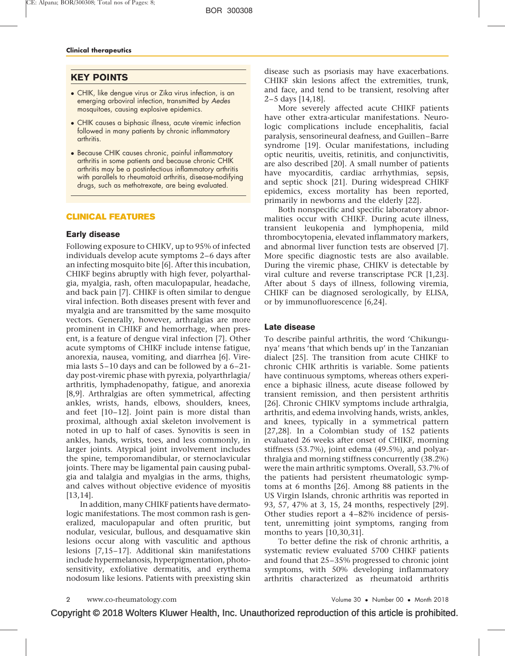# KEY POINTS

- CHIK, like dengue virus or Zika virus infection, is an emerging arboviral infection, transmitted by Aedes mosquitoes, causing explosive epidemics.
- CHIK causes a biphasic illness, acute viremic infection followed in many patients by chronic inflammatory arthritis.
- Because CHIK causes chronic, painful inflammatory arthritis in some patients and because chronic CHIK arthritis may be a postinfectious inflammatory arthritis with parallels to rheumatoid arthritis, disease-modifying drugs, such as methotrexate, are being evaluated.

## CLINICAL FEATURES

#### Early disease

Following exposure to CHIKV, up to 95% of infected individuals develop acute symptoms 2–6 days after an infecting mosquito bite [\[6\].](#page-6-0) After this incubation, CHIKF begins abruptly with high fever, polyarthalgia, myalgia, rash, often maculopapular, headache, and back pain [\[7\].](#page-6-0) CHIKF is often similar to dengue viral infection. Both diseases present with fever and myalgia and are transmitted by the same mosquito vectors. Generally, however, arthralgias are more prominent in CHIKF and hemorrhage, when present, is a feature of dengue viral infection [\[7\].](#page-6-0) Other acute symptoms of CHIKF include intense fatigue, anorexia, nausea, vomiting, and diarrhea [\[6\].](#page-6-0) Viremia lasts 5–10 days and can be followed by a 6–21 day post-viremic phase with pyrexia, polyarthrlagia/ arthritis, lymphadenopathy, fatigue, and anorexia [\[8,9\].](#page-6-0) Arthralgias are often symmetrical, affecting ankles, wrists, hands, elbows, shoulders, knees, and feet [\[10–12\].](#page-6-0) Joint pain is more distal than proximal, although axial skeleton involvement is noted in up to half of cases. Synovitis is seen in ankles, hands, wrists, toes, and less commonly, in larger joints. Atypical joint involvement includes the spine, temporomandibular, or sternoclavicular joints. There may be ligamental pain causing pubalgia and talalgia and myalgias in the arms, thighs, and calves without objective evidence of myositis [\[13,14\]](#page-6-0).

In addition, many CHIKF patients have dermatologic manifestations. The most common rash is generalized, maculopapular and often pruritic, but nodular, vesicular, bullous, and desquamative skin lesions occur along with vasculitic and apthous lesions [\[7,15–17\].](#page-6-0) Additional skin manifestations include hypermelanosis, hyperpigmentation, photosensitivity, exfoliative dermatitis, and erythema nodosum like lesions. Patients with preexisting skin

disease such as psoriasis may have exacerbations. CHIKF skin lesions affect the extremities, trunk, and face, and tend to be transient, resolving after 2–5 days [\[14,18\]](#page-6-0).

More severely affected acute CHIKF patients have other extra-articular manifestations. Neurologic complications include encephalitis, facial paralysis, sensorineural deafness, and Guillen–Barre syndrome [\[19\]](#page-6-0). Ocular manifestations, including optic neuritis, uveitis, retinitis, and conjunctivitis, are also described [\[20\].](#page-6-0) A small number of patients have myocarditis, cardiac arrhythmias, sepsis, and septic shock [\[21\].](#page-6-0) During widespread CHIKF epidemics, excess mortality has been reported, primarily in newborns and the elderly [\[22\].](#page-6-0)

Both nonspecific and specific laboratory abnormalities occur with CHIKF. During acute illness, transient leukopenia and lymphopenia, mild thrombocytopenia, elevated inflammatory markers, and abnormal liver function tests are observed [\[7\].](#page-6-0) More specific diagnostic tests are also available. During the viremic phase, CHIKV is detectable by viral culture and reverse transcriptase PCR [\[1,23\]](#page-6-0). After about 5 days of illness, following viremia, CHIKF can be diagnosed serologically, by ELISA, or by immunofluorescence [\[6,24\]](#page-6-0).

#### Late disease

To describe painful arthritis, the word 'Chikungunya' means 'that which bends up' in the Tanzanian dialect [\[25\].](#page-6-0) The transition from acute CHIKF to chronic CHIK arthritis is variable. Some patients have continuous symptoms, whereas others experience a biphasic illness, acute disease followed by transient remission, and then persistent arthritis [\[26\].](#page-6-0) Chronic CHIKV symptoms include arthralgia, arthritis, and edema involving hands, wrists, ankles, and knees, typically in a symmetrical pattern [\[27,28\]](#page-6-0). In a Colombian study of 152 patients evaluated 26 weeks after onset of CHIKF, morning stiffness (53.7%), joint edema (49.5%), and polyarthralgia and morning stiffness concurrently (38.2%) were the main arthritic symptoms. Overall, 53.7% of the patients had persistent rheumatologic symptoms at 6 months [\[26\]](#page-6-0). Among 88 patients in the US Virgin Islands, chronic arthritis was reported in 93, 57, 47% at 3, 15, 24 months, respectively [\[29\]](#page-6-0). Other studies report a 4–82% incidence of persistent, unremitting joint symptoms, ranging from months to years [\[10,30,31\].](#page-6-0)

To better define the risk of chronic arthritis, a systematic review evaluated 5700 CHIKF patients and found that 25–35% progressed to chronic joint symptoms, with 50% developing inflammatory arthritis characterized as rheumatoid arthritis

www.co-rheumatology.com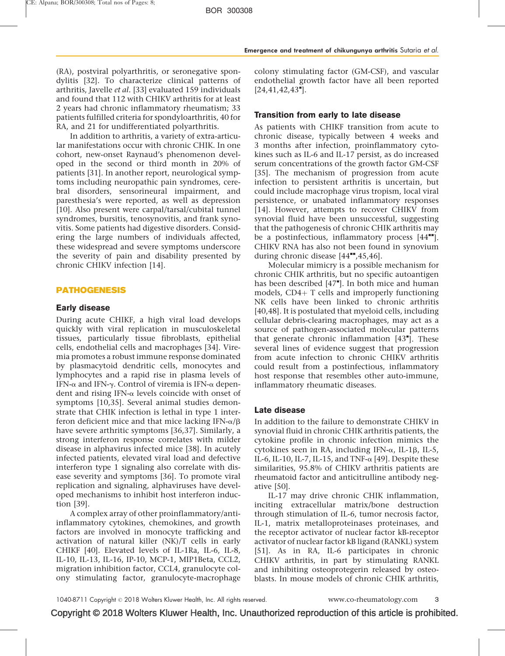(RA), postviral polyarthritis, or seronegative spondylitis [\[32\]](#page-6-0). To characterize clinical patterns of arthritis, Javelle et al. [\[33\]](#page-6-0) evaluated 159 individuals and found that 112 with CHIKV arthritis for at least 2 years had chronic inflammatory rheumatism; 33 patients fulfilled criteria for spondyloarthritis, 40 for RA, and 21 for undifferentiated polyarthritis.

In addition to arthritis, a variety of extra-articular manifestations occur with chronic CHIK. In one cohort, new-onset Raynaud's phenomenon developed in the second or third month in 20% of patients [\[31\].](#page-6-0) In another report, neurological symptoms including neuropathic pain syndromes, cerebral disorders, sensorineural impairment, and paresthesia's were reported, as well as depression [\[10\].](#page-6-0) Also present were carpal/tarsal/cubital tunnel syndromes, bursitis, tenosynovitis, and frank synovitis. Some patients had digestive disorders. Considering the large numbers of individuals affected, these widespread and severe symptoms underscore the severity of pain and disability presented by chronic CHIKV infection [\[14\].](#page-6-0)

#### PATHOGENESIS

#### Early disease

During acute CHIKF, a high viral load develops quickly with viral replication in musculoskeletal tissues, particularly tissue fibroblasts, epithelial cells, endothelial cells and macrophages [\[34\]](#page-6-0). Viremia promotes a robust immune response dominated by plasmacytoid dendritic cells, monocytes and lymphocytes and a rapid rise in plasma levels of IFN- $\alpha$  and IFN- $\gamma$ . Control of viremia is IFN- $\alpha$  dependent and rising IFN- $\alpha$  levels coincide with onset of symptoms [\[10,35\].](#page-6-0) Several animal studies demonstrate that CHIK infection is lethal in type 1 interferon deficient mice and that mice lacking IFN- $\alpha/\beta$ have severe arthritic symptoms [\[36,37\].](#page-7-0) Similarly, a strong interferon response correlates with milder disease in alphavirus infected mice [\[38\].](#page-7-0) In acutely infected patients, elevated viral load and defective interferon type 1 signaling also correlate with disease severity and symptoms [\[36\].](#page-7-0) To promote viral replication and signaling, alphaviruses have developed mechanisms to inhibit host interferon induction [\[39\].](#page-7-0)

A complex array of other proinflammatory/antiinflammatory cytokines, chemokines, and growth factors are involved in monocyte trafficking and activation of natural killer (NK)/T cells in early CHIKF [\[40\]](#page-7-0). Elevated levels of IL-1Ra, IL-6, IL-8, IL-10, IL-13, IL-16, IP-10, MCP-1, MIP1Beta, CCL2, migration inhibition factor, CCL4, granulocyte colony stimulating factor, granulocyte-macrophage

colony stimulating factor (GM-CSF), and vascular endothelial growth factor have all been reported  $[24, 41, 42, 43"].$  $[24, 41, 42, 43"].$ 

#### Transition from early to late disease

As patients with CHIKF transition from acute to chronic disease, typically between 4 weeks and 3 months after infection, proinflammatory cytokines such as IL-6 and IL-17 persist, as do increased serum concentrations of the growth factor GM-CSF [\[35\].](#page-7-0) The mechanism of progression from acute infection to persistent arthritis is uncertain, but could include macrophage virus tropism, local viral persistence, or unabated inflammatory responses [\[14\].](#page-6-0) However, attempts to recover CHIKV from synovial fluid have been unsuccessful, suggesting that the pathogenesis of chronic CHIK arthritis may be a postinfectious, inflammatory process  $[44$ <sup> $H$ </sup>[\]](#page-7-0). CHIKV RNA has also not been found in synovium during chronic disease [\[44](#page-7-0)<sup>\*\*</sup>[,45,46\]](#page-7-0).

Molecular mimicry is a possible mechanism for chronic CHIK arthritis, but no specific autoantigen has been described [\[47](#page-7-0)"[\]](#page-7-0). In both mice and human models,  $CD4+T$  cells and improperly functioning NK cells have been linked to chronic arthritis [\[40,48\]](#page-7-0). It is postulated that myeloid cells, including cellular debris-clearing macrophages, may act as a source of pathogen-associated molecular patterns that generate chronic inflammation [\[43](#page-7-0)"[\].](#page-7-0) These several lines of evidence suggest that progression from acute infection to chronic CHIKV arthritis could result from a postinfectious, inflammatory host response that resembles other auto-immune, inflammatory rheumatic diseases.

#### Late disease

In addition to the failure to demonstrate CHIKV in synovial fluid in chronic CHIK arthritis patients, the cytokine profile in chronic infection mimics the cytokines seen in RA, including IFN- $\alpha$ , IL-1 $\beta$ , IL-5, IL-6, IL-10, IL-7, IL-15, and TNF- $\alpha$  [\[49\].](#page-7-0) Despite these similarities, 95.8% of CHIKV arthritis patients are rheumatoid factor and anticitrulline antibody negative [\[50\].](#page-7-0)

IL-17 may drive chronic CHIK inflammation, inciting extracellular matrix/bone destruction through stimulation of IL-6, tumor necrosis factor, IL-1, matrix metalloproteinases proteinases, and the receptor activator of nuclear factor kB-receptor activator of nuclear factor kB ligand (RANKL) system [\[51\].](#page-7-0) As in RA, IL-6 participates in chronic CHIKV arthritis, in part by stimulating RANKL and inhibiting osteoprotegerin released by osteoblasts. In mouse models of chronic CHIK arthritis,

Copyright © 2018 Wolters Kluwer Health, Inc. Unauthorized reproduction of this article is prohibited.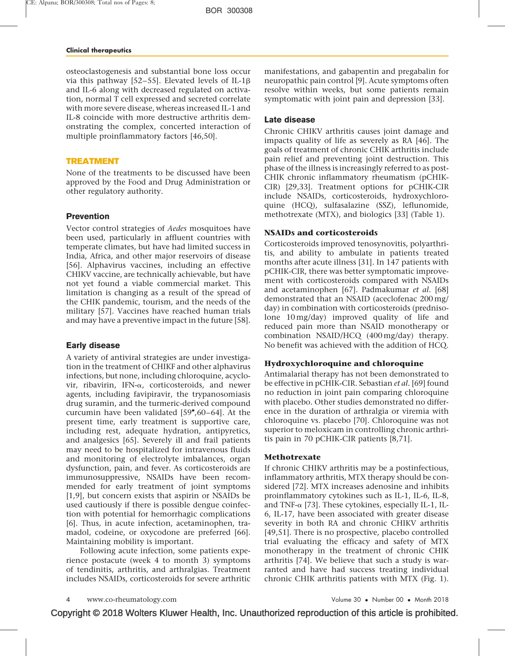osteoclastogenesis and substantial bone loss occur via this pathway [\[52–55\]](#page-7-0). Elevated levels of IL-1 $\beta$ and IL-6 along with decreased regulated on activation, normal T cell expressed and secreted correlate with more severe disease, whereas increased IL-1 and IL-8 coincide with more destructive arthritis demonstrating the complex, concerted interaction of multiple proinflammatory factors [\[46,50\]](#page-7-0).

#### TREATMENT

None of the treatments to be discussed have been approved by the Food and Drug Administration or other regulatory authority.

## **Prevention**

Vector control strategies of Aedes mosquitoes have been used, particularly in affluent countries with temperate climates, but have had limited success in India, Africa, and other major reservoirs of disease [\[56\].](#page-7-0) Alphavirus vaccines, including an effective CHIKV vaccine, are technically achievable, but have not yet found a viable commercial market. This limitation is changing as a result of the spread of the CHIK pandemic, tourism, and the needs of the military [\[57\]](#page-7-0). Vaccines have reached human trials and may have a preventive impact in the future [\[58\].](#page-7-0)

# Early disease

A variety of antiviral strategies are under investigation in the treatment of CHIKF and other alphavirus infections, but none, including chloroquine, acyclovir, ribavirin, IFN-a, corticosteroids, and newer agents, including favipiravir, the trypanosomiasis drug suramin, and the turmeric-derived compound curcumin have been validated  $[59", 60-64]$  $[59", 60-64]$ . At the present time, early treatment is supportive care, including rest, adequate hydration, antipyretics, and analgesics [\[65\]](#page-7-0). Severely ill and frail patients may need to be hospitalized for intravenous fluids and monitoring of electrolyte imbalances, organ dysfunction, pain, and fever. As corticosteroids are immunosuppressive, NSAIDs have been recommended for early treatment of joint symptoms [\[1,9\],](#page-6-0) but concern exists that aspirin or NSAIDs be used cautiously if there is possible dengue coinfection with potential for hemorrhagic complications [\[6\]](#page-6-0). Thus, in acute infection, acetaminophen, tramadol, codeine, or oxycodone are preferred [\[66\].](#page-7-0) Maintaining mobility is important.

Following acute infection, some patients experience postacute (week 4 to month 3) symptoms of tendinitis, arthritis, and arthralgias. Treatment includes NSAIDs, corticosteroids for severe arthritic manifestations, and gabapentin and pregabalin for neuropathic pain control [\[9\]](#page-6-0). Acute symptoms often resolve within weeks, but some patients remain symptomatic with joint pain and depression [\[33\].](#page-6-0)

## Late disease

Chronic CHIKV arthritis causes joint damage and impacts quality of life as severely as RA [\[46\]](#page-7-0). The goals of treatment of chronic CHIK arthritis include pain relief and preventing joint destruction. This phase of the illness is increasingly referred to as post-CHIK chronic inflammatory rheumatism (pCHIK-CIR) [\[29,33\].](#page-6-0) Treatment options for pCHIK-CIR include NSAIDs, corticosteroids, hydroxychloroquine (HCQ), sulfasalazine (SSZ), leflunomide, methotrexate (MTX), and biologics [\[33\]](#page-6-0) (Table 1).

# NSAIDs and corticosteroids

Corticosteroids improved tenosynovitis, polyarthritis, and ability to ambulate in patients treated months after acute illness [\[31\].](#page-6-0) In 147 patients with pCHIK-CIR, there was better symptomatic improvement with corticosteroids compared with NSAIDs and acetaminophen [\[67\]](#page-7-0). Padmakumar et al. [\[68\]](#page-7-0) demonstrated that an NSAID (aceclofenac 200 mg/ day) in combination with corticosteroids (prednisolone 10 mg/day) improved quality of life and reduced pain more than NSAID monotherapy or combination NSAID/HCQ (400 mg/day) therapy. No benefit was achieved with the addition of HCQ.

## Hydroxychloroquine and chloroquine

Antimalarial therapy has not been demonstrated to be effective in pCHIK-CIR. Sebastian et al. [\[69\]](#page-7-0) found no reduction in joint pain comparing chloroquine with placebo. Other studies demonstrated no difference in the duration of arthralgia or viremia with chloroquine vs. placebo [\[70\]](#page-7-0). Chloroquine was not superior to meloxicam in controlling chronic arthritis pain in 70 pCHIK-CIR patients [\[8,71\].](#page-6-0)

## Methotrexate

If chronic CHIKV arthritis may be a postinfectious, inflammatory arthritis, MTX therapy should be considered [\[72\]](#page-7-0). MTX increases adenosine and inhibits proinflammatory cytokines such as IL-1, IL-6, IL-8, and TNF- $\alpha$  [\[73\].](#page-7-0) These cytokines, especially IL-1, IL-6, IL-17, have been associated with greater disease severity in both RA and chronic CHIKV arthritis [\[49,51\]](#page-7-0). There is no prospective, placebo controlled trial evaluating the efficacy and safety of MTX monotherapy in the treatment of chronic CHIK arthritis [\[74\].](#page-7-0) We believe that such a study is warranted and have had success treating individual chronic CHIK arthritis patients with MTX (Fig. 1).

```
www.co-rheumatology.com
```
• Number 00 • Month 2018

Copyright © 2018 Wolters Kluwer Health, Inc. Unauthorized reproduction of this article is prohibited.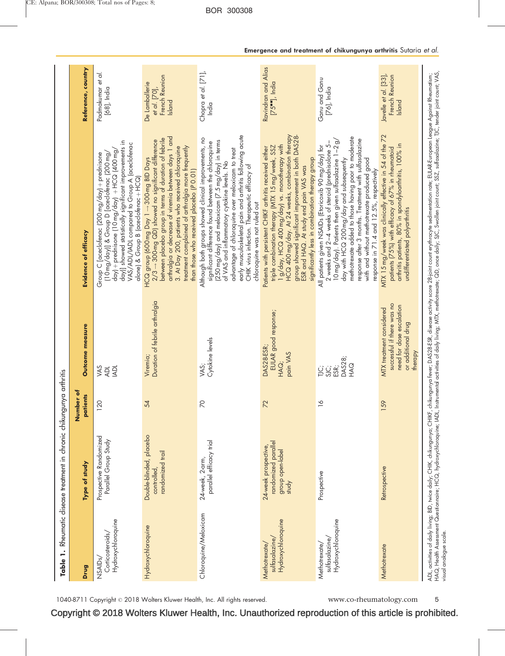| Drug                                                         | Type of study                                                            | Number of<br><b>patients</b> | <b>Outcome measure</b>                                                                                                     | Evidence of efficacy                                                                                                                                                                                                                                                                                                                                                                                                                 | Reference, country                                                         |
|--------------------------------------------------------------|--------------------------------------------------------------------------|------------------------------|----------------------------------------------------------------------------------------------------------------------------|--------------------------------------------------------------------------------------------------------------------------------------------------------------------------------------------------------------------------------------------------------------------------------------------------------------------------------------------------------------------------------------------------------------------------------------|----------------------------------------------------------------------------|
| Hydroxychloroquine<br>Corticosteroids/<br>NSAID <sub>s</sub> | Prospective Randomized<br>Parallel Group Study                           | 120                          | VAS<br><b>IADL</b><br><b>ADL</b>                                                                                           | day]] showed statistically significant improvements in<br>VAS/ADL/IADL compared to Group A (aceclofenac<br>day) + prednisone [10 mg/day) + HCQ (400 mg/<br>Group C [aceclofenac (200 mg/day) + prednisone<br>[10 mg/day]] & Group D [aceclofenac (200 mg,<br>alone) & Group B (aceclofenac + HCQ)                                                                                                                                    | Padmakumar et al.<br>[68], India                                           |
| Hydroxychloroquine                                           | Double-blinded, placebo<br>randomized trail<br>controlled,               | 54                           | Duration of febrile arthralgia<br>Viremia;                                                                                 | arthralgia or decrease of viremia between days 1 and<br>between placebo group in terms of duration of febrile<br>$2/3 \rightarrow 300$ -mg QD) showed no significant difference<br>3. At Day 200, patients who received chloroquine<br>treatment complained of arthralgia more frequently<br>HCQ group (600 mg Day 1 - 300-mg BID Days<br>than those who received placebo (P 0.01)                                                   | French Reunion<br>De Lamballerie<br>et al. [70],<br>Island                 |
| Chloroquine/Meloxicam                                        | parallel efficacy trial<br>24-week, 2-arm,                               | $\overline{\wedge}$          | Cytokine levels<br>VAS;                                                                                                    | early musculoskeletal pain and arthritis following acute<br>Although both groups showed clinical improvements, no<br>(250 mg/day) and meloxicam (7.5 mg/day) in terms<br>significant difference found between the chloroquine<br>advantage of chloroquine over meloxicam to treat<br>of VAS and inflammatory cytokine levels. No<br>CHIK virus infection. Therapeutic efficacy of<br>chloroquine was not ruled out                   | Chopra et al. [71],<br>India                                               |
| Hydroxychloroquine<br>sulfasalazine/<br>Methotrexate/        | randomized parallel<br>24-week prospective,<br>group open-label<br>study | 72                           | EULAR good response;<br>DAS28-ESR;<br>pain VAS<br>HAQ;                                                                     | HCQ 400 mg/day. At 24 weeks, combination therapy<br>group showed significant improvement in both DAS28-<br>ESR and HAQ. At study end pain VAS was<br>1 g/day, HCQ 400 mg/day) vs. monotherapy with<br>triple combination therapy (MTX 15 mg/week, SSZ<br>Patients with persistent CHIKF arthritis received either<br>significantly less in combination therapy group                                                                 | Ravindran and Alias<br>$[75$ <sup><math>\blacksquare</math></sup> ), India |
| Hydroxychloroquine<br>sulfasalazine/<br>Methotrexate/        | Prospective                                                              | ↷                            | DAS28;<br>HAQ<br>SJC;<br>ESR;<br>$\frac{1}{2}$                                                                             | methotrexate added to those having poor to moderate<br>response after 3 months. Treatment with sulfasalazine<br>$10 \text{ mg/day}$ ). Patients then given sulfasalazine $1-2g/$<br>2 weeks and 2-4 weeks of steroid (prednisolone 5-<br>All patients given NSAIDs (Etoricoxib 90 mg/day) for<br>day with HCQ 200 mg/day and subsequently<br>with and without methotrexate produced good<br>response in 71.4 and 12.5%, respectively | Ganu and Ganu<br>[76], India                                               |
| Methotrexate                                                 | Retrospective                                                            | 159                          | successful if there was no<br>need for dose escalation<br><b>MTX</b> treatment considered<br>or additional drug<br>therapy | MTX 15 mg/week was clinically effective in 54 of the 72<br>arthritis patients, 80% in spondyloarthritis, 100% in<br>patients [75%] with efficacy of 67% in rheumatoid<br>undifferentiated polyarthritis                                                                                                                                                                                                                              | Javelle et al. [33],<br>French Reunion<br>Island                           |

Copyright © 2018 Wolters Kluwer Health, Inc. Unauthorized reproduction of this article is prohibited.

1040-8711 Copyright © 2018 Wolters Kluwer Health, Inc. All rights reserved. www.co-rheumatology.com 5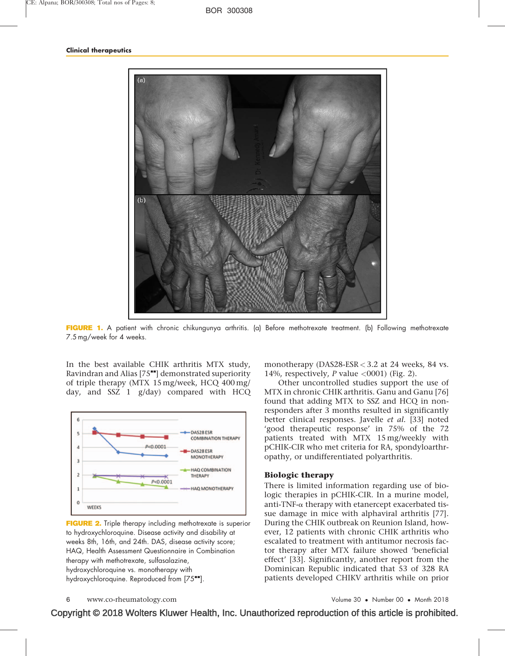

FIGURE 1. A patient with chronic chikungunya arthritis. (a) Before methotrexate treatment. (b) Following methotrexate 7.5 mg/week for 4 weeks.

In the best available CHIK arthritis MTX study, Ravindran and Alias  $[75$ <sup> $\bullet$ m</sup>[\]](#page-7-0) demonstrated superiority of triple therapy (MTX 15 mg/week, HCQ 400 mg/ day, and SSZ 1 g/day) compared with HCQ



FIGURE 2. Triple therapy including methotrexate is superior to hydroxychloroquine. Disease activity and disability at weeks 8th, 16th, and 24th. DAS, disease activity score; HAQ, Health Assessment Questionnaire in Combination therapy with methotrexate, sulfasalazine, hydroxychloroquine vs. monotherapy with hydroxychloroquine. Reproduced from [\[75](#page-7-0)<sup>-1</sup>[\]](#page-7-0).

monotherapy (DAS28-ESR < 3.2 at 24 weeks, 84 vs. 14%, respectively, P value  $\langle 0001 \rangle$  (Fig. 2).

Other uncontrolled studies support the use of MTX in chronic CHIK arthritis. Ganu and Ganu [\[76\]](#page-7-0) found that adding MTX to SSZ and HCQ in nonresponders after 3 months resulted in significantly better clinical responses. Javelle et al. [\[33\]](#page-6-0) noted 'good therapeutic response' in 75% of the 72 patients treated with MTX 15 mg/weekly with pCHIK-CIR who met criteria for RA, spondyloarthropathy, or undifferentiated polyarthritis.

#### Biologic therapy

There is limited information regarding use of biologic therapies in pCHIK-CIR. In a murine model, anti-TNF- $\alpha$  therapy with etanercept exacerbated tissue damage in mice with alphaviral arthritis [\[77\]](#page-7-0). During the CHIK outbreak on Reunion Island, however, 12 patients with chronic CHIK arthritis who escalated to treatment with antitumor necrosis factor therapy after MTX failure showed 'beneficial effect' [\[33\]](#page-6-0). Significantly, another report from the Dominican Republic indicated that 53 of 328 RA patients developed CHIKV arthritis while on prior

• Number 00 • Month 2018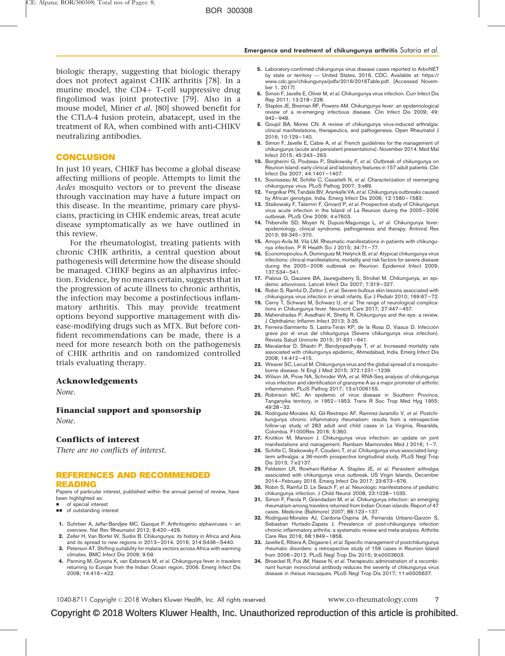<span id="page-6-0"></span>biologic therapy, suggesting that biologic therapy does not protect against CHIK arthritis [\[78\].](#page-7-0) In a murine model, the  $CD4+$  T-cell suppressive drug fingolimod was joint protective [\[79\].](#page-7-0) Also in a mouse model, Miner et al. [\[80\]](#page-7-0) showed benefit for the CTLA-4 fusion protein, abatacept, used in the treatment of RA, when combined with anti-CHIKV neutralizing antibodies.

#### **CONCLUSION**

In just 10 years, CHIKF has become a global disease affecting millions of people. Attempts to limit the Aedes mosquito vectors or to prevent the disease through vaccination may have a future impact on this disease. In the meantime, primary care physicians, practicing in CHIK endemic areas, treat acute disease symptomatically as we have outlined in this review.

For the rheumatologist, treating patients with chronic CHIK arthritis, a central question about pathogenesis will determine how the disease should be managed. CHIKF begins as an alphavirus infection. Evidence, by no means certain, suggests that in the progression of acute illness to chronic arthritis, the infection may become a postinfectious inflammatory arthritis. This may provide treatment options beyond supportive management with disease-modifying drugs such as MTX. But before confident recommendations can be made, there is a need for more research both on the pathogenesis of CHIK arthritis and on randomized controlled trials evaluating therapy.

#### Acknowledgements

None.

#### Financial support and sponsorship

None.

#### Conflicts of interest

There are no conflicts of interest.

#### REFERENCES AND RECOMMENDED READING

Papers of particular interest, published within the annual period of review, have been highlighted as:

- **of special interest**
- $\Box$  of outstanding interest
- 1. Suhrbier A, Jaffar-Bandjee MC, Gasque P. Arthritogenic alphaviruses an overview. Nat Rev Rheumatol 2012; 8:420–429.
- 2. Zeller H, Van Bortel W, Sudre B. Chikungunya: its history in Africa and Asia and its spread to new regions in 2013–2014. 2016; 214:S436–S440.
- 3. Peterson AT. Shifting suitability for malaria vectors across Africa with warming climates. BMC Infect Dis 2009; 9:59.
- 4. Panning M, Grywna K, van Esbroeck M, et al. Chikungunya fever in travelers returning to Europe from the Indian Ocean region, 2006. Emerg Infect Dis 2008; 14:416–422.
- 5. Laboratory-confirmed chikungunya virus disease cases reported to ArboNET by state or territory — United States, 2016, CDC. Available at: [https://](https://www.cdc.gov/chikungunya/pdfs/2016/2016Table.pdf) [www.cdc.gov/chikungunya/pdfs/2016/2016Table.pdf.](https://www.cdc.gov/chikungunya/pdfs/2016/2016Table.pdf) [Accessed November 1, 2017]
- 6. Simon F, Javelle E, Oliver M, et al. Chikungunya virus infection. Curr Infect Dis Rep 2011; 13:218–228.
- 7. Staples JE, Breiman RF, Powers AM. Chikungunya fever: an epidemiological review of a re-emerging infectious disease. Clin Infect Dis 2009; 49: 942–948.
- 8. Goupil BA, Mores CN. A review of chikungunya virus-induced arthralgia: clinical manifestations, therapeutics, and pathogenesis. Open Rheumatol J 2016; 10:129–140.
- 9. Simon F, Javelle E, Cabie A, et al. French guidelines for the management of chikungunya (acute and persistent presentations). November 2014. Med Mal Infect 2015; 45:243–263.
- 10. Borgherini G, Poubeau P, Staikowsky F, et al. Outbreak of chikungunya on Reunion Island: early clinical and laboratory features in 157 adult patients. Clin Infect Dis 2007; 44:1401–1407.
- 11. Sourisseau M, Schilte C, Casartelli N, et al. Characterization of reemerging chikungunya virus. PLoS Pathog 2007; 3:e89.
- 12. Yergolkar PN, Tandale BV, Arankalle VA, et al. Chikungunya outbreaks caused by African genotype, India. Emerg Infect Dis 2006; 12:1580–1583.
- 13. Staikowsky F, Talarmin F, Grivard P, et al. Prospective study of Chikungunya virus acute infection in the Island of La Reunion during the 2005–2006 outbreak. PLoS One 2009; 4:e7603.
- 14. Thiberville SD, Moyen N, Dupuis-Maguiraga L, et al. Chikungunya fever: epidemiology, clinical syndrome, pathogenesis and therapy. Antiviral Res 2013; 99:345–370.
- 15. Arroyo-Avila M, Vila LM. Rheumatic manifestations in patients with chikungunya infection. P R Health Sci J 2015; 34:71–77.
- 16. Economopoulou A, Dominguez M, Helynck B, et al. Atypical chikungunya virus infections: clinical manifestations, mortality and risk factors for severe disease during the 2005–2006 outbreak on Reunion. Epidemiol Infect 2009; 137:534–541.
- 17. Pialoux G, Gauzere BA, Jaureguiberry S, Strobel M. Chikungunya, an epidemic arbovirosis. Lancet Infect Dis 2007; 7:319–327.
- 18. Robin S, Ramful D, Zettor J, et al. Severe bullous skin lesions associated with chikungunya virus infection in small infants. Eur J Pediatr 2010; 169:67–72.
- 19. Cerny T, Schwarz M, Schwarz U, et al. The range of neurological complications in Chikungunya fever. Neurocrit Care 2017; 27:447–457. 20. Mahendradas P, Avadhani K, Shetty R. Chikungunya and the eye: a review.
- J Ophthalmic Inflamm Infect 2013; 3:35.
- 21. Ferreira-Sarmiento S, Lastra-Terán KP, de la Rosa D, Viasus D. Infección grave por el virus del chikungunya (Severe chikungunya virus infection). Revista Salud Uninorte 2015; 31:631–641.
- 22. Mavalankar D, Shastri P, Bandyopadhyay T, et al. Increased mortality rate associated with chikungunya epidemic, Ahmedabad, India. Emerg Infect Dis 2008; 14:412–415.
- 23. Weaver SC, Lecuit M. Chikungunya virus and the global spread of a mosquitoborne disease. N Engl J Med 2015; 372:1231–1239.
- 24. Wilson JA, Prow NA, Schroder WA, et al. RNA-Seq analysis of chikungunya virus infection and identification of granzyme A as a major promoter of arthritic
- inflammation. PLoS Pathog 2017; 13:e1006155. 25. Robinson MC. An epidemic of virus disease in Southern Province, Tanganyika territory, in 1952–1953. Trans R Soc Trop Med Hyg 1955; 49:28–32.
- 26. Rodriguez-Morales AJ, Gil-Restrepo AF, Ramirez-Jaramillo V, et al. Postchikungunya chronic inflammatory rheumatism: results from a retrospective follow-up study of 283 adult and child cases in La Virginia, Risaralda, Colombia. F1000Res 2016; 5:360.
- 27. Krutikov M, Manson J. Chikungunya virus infection: an update on joint manifestations and management. Rambam Maimonides Med J 2016; 1–7.
- 28. Schilte C, Staikowsky F, Couderc T, et al. Chikungunya virus-associated longterm arthralgia: a 36-month prospective longitudinal study. PLoS Negl Trop Dis 2013; 7:e2137.
- 29. Feldstein LR, Rowhani-Rahbar A, Staples JE, et al. Persistent arthralgia associated with chikungunya virus outbreak, US Virgin Islands, December 2014–February 2016. Emerg Infect Dis 2017; 23:673–676.
- 30. Robin S, Ramful D, Le Seach F, et al. Neurologic manifestations of pediatric chikungunya infection. J Child Neurol 2008; 23:1028–1035.
- 31. Simon F, Parola P, Grandadam M, et al. Chikungunya infection: an emerging rheumatism among travelers returned from Indian Ocean islands. Report of 47 cases. Medicine (Baltimore) 2007; 86:123–137.
- 32. Rodríguez-Morales AJ, Cardona-Ospina JA, Fernanda Urbano-Garzón S, Sebastian Hurtado-Zapata J. Prevalence of post-chikungunya infection chronic inflammatory arthritis: a systematic review and meta-analysis. Arthritis Care Res 2016; 68:1849–1858.
- 33. Javelle E, Ribera A, Degasne I, et al. Specific management of postchikungunya rheumatic disorders: a retrospective study of 159 cases in Reunion Island from 2006–2012. PLoS Negl Trop Dis 2015; 9:e0003603.
- 34. Broeckel R, Fox JM, Haese N, et al. Therapeutic administration of a recombinant human monoclonal antibody reduces the severity of chikungunya virus disease in rhesus macaques. PLoS Negl Trop Dis 2017; 11:e0005637.

1040-8711 Copyright © 2018 Wolters Kluwer Health, Inc. All rights reserved. www.co-rheumatology.com 7

Copyright © 2018 Wolters Kluwer Health, Inc. Unauthorized reproduction of this article is prohibited.